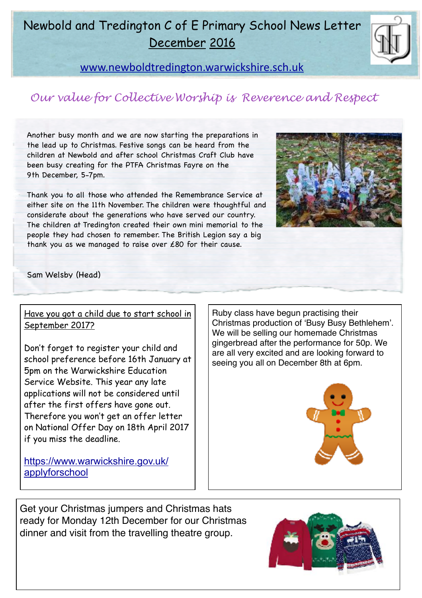## Newbold and Tredington C of E Primary School News Letter December 2016



[www.newboldtredington.warwickshire.sch.uk](http://www.newboldtredington.warwickshire.sch.uk)

## *Our value for Collective Worship is Reverence and Respect*

Another busy month and we are now starting the preparations in the lead up to Christmas. Festive songs can be heard from the children at Newbold and after school Christmas Craft Club have been busy creating for the PTFA Christmas Fayre on the 9th December, 5-7pm.

Thank you to all those who attended the Remembrance Service at either site on the 11th November. The children were thoughtful and considerate about the generations who have served our country. The children at Tredington created their own mini memorial to the people they had chosen to remember. The British Legion say a big thank you as we managed to raise over £80 for their cause.



Sam Welsby (Head)

#### Have you got a child due to start school in September 2017?

Don't forget to register your child and school preference before 16th January at 5pm on the Warwickshire Education Service Website. This year any late applications will not be considered until after the first offers have gone out. Therefore you won't get an offer letter on National Offer Day on 18th April 2017 if you miss the deadline.

Ruby class have begun practising their Christmas production of 'Busy Busy Bethlehem'. We will be selling our homemade Christmas gingerbread after the performance for 50p. We are all very excited and are looking forward to seeing you all on December 8th at 6pm.



[https://www.warwickshire.gov.uk/](https://www.warwickshire.gov.uk/applyforschool) [applyforschool](https://www.warwickshire.gov.uk/applyforschool)

Get your Christmas jumpers and Christmas hats ready for Monday 12th December for our Christmas dinner and visit from the travelling theatre group.

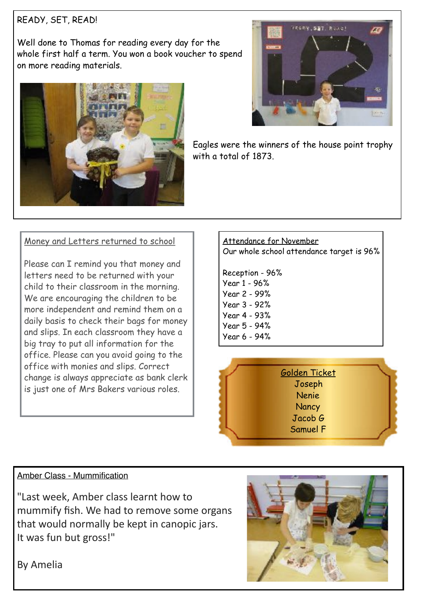#### READY, SET, READ!

Well done to Thomas for reading every day for the whole first half a term. You won a book voucher to spend on more reading materials.





Eagles were the winners of the house point trophy with a total of 1873.

#### Money and Letters returned to school

Please can I remind you that money and letters need to be returned with your child to their classroom in the morning. We are encouraging the children to be more independent and remind them on a daily basis to check their bags for money and slips. In each classroom they have a big tray to put all information for the office. Please can you avoid going to the office with monies and slips. Correct change is always appreciate as bank clerk is just one of Mrs Bakers various roles.

#### Attendance for November Our whole school attendance target is 96%

Reception - 96% Year 1 - 96% Year 2 - 99% Year 3 - 92% Year 4 - 93% Year 5 - 94% Year 6 - 94%



#### Amber Class - Mummification

"Last week, Amber class learnt how to mummify fish. We had to remove some organs that would normally be kept in canopic jars. It was fun but gross!"



By Amelia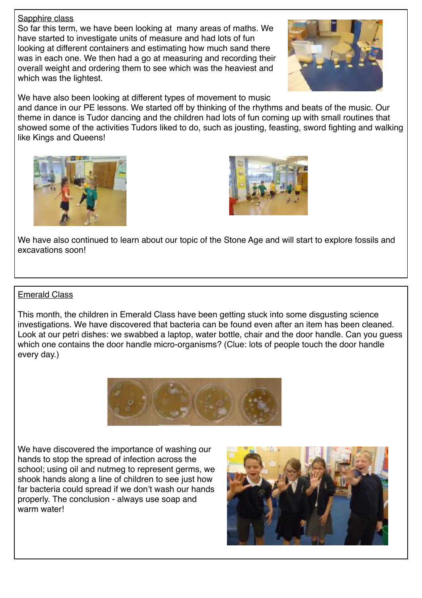#### Sapphire class

So far this term, we have been looking at many areas of maths. We have started to investigate units of measure and had lots of fun looking at different containers and estimating how much sand there was in each one. We then had a go at measuring and recording their overall weight and ordering them to see which was the heaviest and which was the lightest.



We have also been looking at different types of movement to music

and dance in our PE lessons. We started off by thinking of the rhythms and beats of the music. Our theme in dance is Tudor dancing and the children had lots of fun coming up with small routines that showed some of the activities Tudors liked to do, such as jousting, feasting, sword fighting and walking like Kings and Queens!





We have also continued to learn about our topic of the Stone Age and will start to explore fossils and excavations soon!

#### Emerald Class

This month, the children in Emerald Class have been getting stuck into some disgusting science investigations. We have discovered that bacteria can be found even after an item has been cleaned. Look at our petri dishes: we swabbed a laptop, water bottle, chair and the door handle. Can you guess which one contains the door handle micro-organisms? (Clue: lots of people touch the door handle every day.)



We have discovered the importance of washing our hands to stop the spread of infection across the school; using oil and nutmeg to represent germs, we shook hands along a line of children to see just how far bacteria could spread if we don't wash our hands properly. The conclusion - always use soap and warm water!

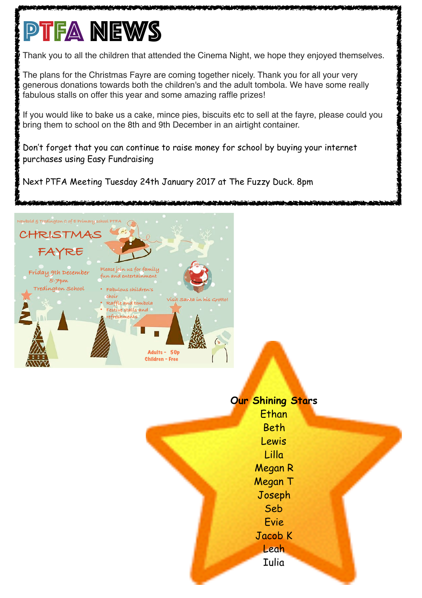# **PTFA NEWS**

Thank you to all the children that attended the Cinema Night, we hope they enjoyed themselves.

The plans for the Christmas Fayre are coming together nicely. Thank you for all your very generous donations towards both the children's and the adult tombola. We have some really fabulous stalls on offer this year and some amazing raffle prizes!

If you would like to bake us a cake, mince pies, biscuits etc to sell at the fayre, please could you bring them to school on the 8th and 9th December in an airtight container.

Don't forget that you can continue to raise money for school by buying your internet purchases using Easy Fundraising

Next PTFA Meeting Tuesday 24th January 2017 at The Fuzzy Duck. 8pm



### **Our Shining Stars Ethan** Beth Lewis Lilla Megan R Megan T Joseph Seb Evie Jacob K Leah Iulia